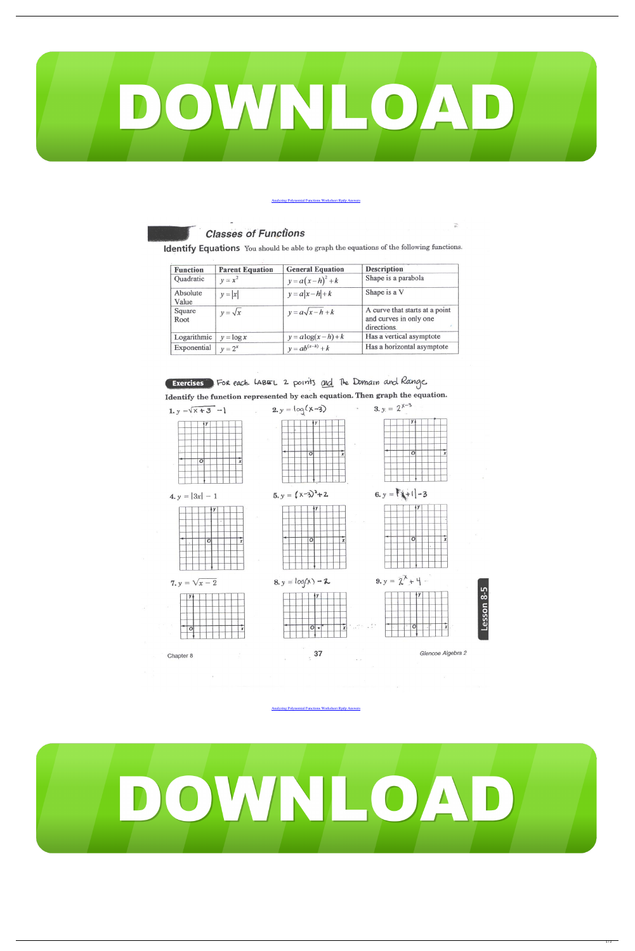

**[Analyzing Polynomial Functions Worksheet Rpdp Answers](https://tinurli.com/259g4i)** 

## **Classes of Functions**

Identify Equations You should be able to graph the equations of the following functions.

| <b>Function</b>   | <b>Parent Equation</b> | <b>General Equation</b> | <b>Description</b>                                                      |
|-------------------|------------------------|-------------------------|-------------------------------------------------------------------------|
| Quadratic         | $y = x^2$              | $y=a(x-h)^2+k$          | Shape is a parabola                                                     |
| Absolute<br>Value | $y =  x $              | $y = a x-h +k$          | Shape is a V                                                            |
| Square<br>Root    | $y = \sqrt{x}$         | $y = a\sqrt{x-h+k}$     | A curve that starts at a point<br>and curves in only one<br>directions. |
| Logarithmic       | $y = \log x$           | $y = a \log(x-h) + k$   | Has a vertical asymptote                                                |
| Exponential       | $v=2^x$                | $y = ab^{(x-h)} + k$    | Has a horizontal asymptote                                              |



Chapter 8

Glencoe Algebra 2

Lesson 8-5

 $\overrightarrow{w}$ 

and the state of the

[Analyzing Polynomial Functions Worksheet Rpdp Answers](https://tinurli.com/259g4i)